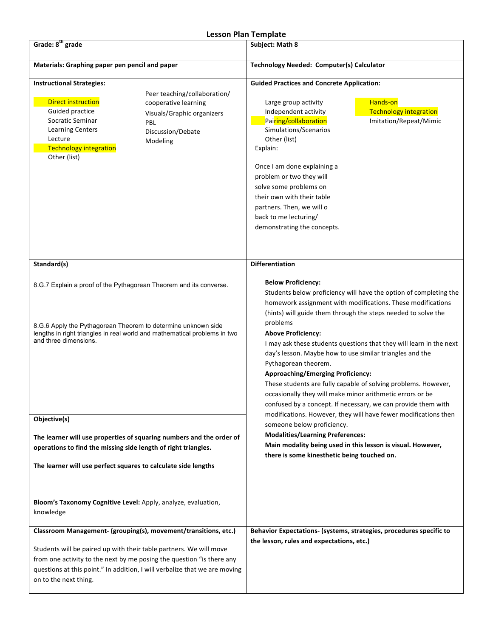## **Lesson Plan Template**

| Grade: 8 <sup>th</sup> grade                                                                                                                                                                                                                                                                                              | בכססטוו ועוו וכווואומנכ<br>Subject: Math 8                                                                                                                                                                                                                                                                                                                                                                                                                                                                                                                                                                                                                                                               |  |
|---------------------------------------------------------------------------------------------------------------------------------------------------------------------------------------------------------------------------------------------------------------------------------------------------------------------------|----------------------------------------------------------------------------------------------------------------------------------------------------------------------------------------------------------------------------------------------------------------------------------------------------------------------------------------------------------------------------------------------------------------------------------------------------------------------------------------------------------------------------------------------------------------------------------------------------------------------------------------------------------------------------------------------------------|--|
| Materials: Graphing paper pen pencil and paper                                                                                                                                                                                                                                                                            | Technology Needed: Computer(s) Calculator                                                                                                                                                                                                                                                                                                                                                                                                                                                                                                                                                                                                                                                                |  |
| <b>Instructional Strategies:</b><br>Peer teaching/collaboration/<br><b>Direct instruction</b><br>cooperative learning<br>Guided practice<br>Visuals/Graphic organizers<br>Socratic Seminar<br>PBL<br><b>Learning Centers</b><br>Discussion/Debate<br>Lecture<br>Modeling<br><b>Technology integration</b><br>Other (list) | <b>Guided Practices and Concrete Application:</b><br>Hands-on<br>Large group activity<br>Independent activity<br><b>Technology integration</b><br>Pairing/collaboration<br>Imitation/Repeat/Mimic<br>Simulations/Scenarios<br>Other (list)<br>Explain:<br>Once I am done explaining a<br>problem or two they will<br>solve some problems on<br>their own with their table<br>partners. Then, we will o<br>back to me lecturing/<br>demonstrating the concepts.                                                                                                                                                                                                                                           |  |
| Standard(s)<br>8.G.7 Explain a proof of the Pythagorean Theorem and its converse.<br>8.G.6 Apply the Pythagorean Theorem to determine unknown side<br>lengths in right triangles in real world and mathematical problems in two<br>and three dimensions.                                                                  | <b>Differentiation</b><br><b>Below Proficiency:</b><br>Students below proficiency will have the option of completing the<br>homework assignment with modifications. These modifications<br>(hints) will guide them through the steps needed to solve the<br>problems<br><b>Above Proficiency:</b><br>I may ask these students questions that they will learn in the next<br>day's lesson. Maybe how to use similar triangles and the<br>Pythagorean theorem.<br><b>Approaching/Emerging Proficiency:</b><br>These students are fully capable of solving problems. However,<br>occasionally they will make minor arithmetic errors or be<br>confused by a concept. If necessary, we can provide them with |  |
| Objective(s)<br>The learner will use properties of squaring numbers and the order of<br>operations to find the missing side length of right triangles.<br>The learner will use perfect squares to calculate side lengths                                                                                                  | modifications. However, they will have fewer modifications then<br>someone below proficiency.<br><b>Modalities/Learning Preferences:</b><br>Main modality being used in this lesson is visual. However,<br>there is some kinesthetic being touched on.                                                                                                                                                                                                                                                                                                                                                                                                                                                   |  |
| Bloom's Taxonomy Cognitive Level: Apply, analyze, evaluation,<br>knowledge                                                                                                                                                                                                                                                |                                                                                                                                                                                                                                                                                                                                                                                                                                                                                                                                                                                                                                                                                                          |  |
| Classroom Management- (grouping(s), movement/transitions, etc.)<br>Students will be paired up with their table partners. We will move<br>from one activity to the next by me posing the question "is there any<br>questions at this point." In addition, I will verbalize that we are moving<br>on to the next thing.     | Behavior Expectations- (systems, strategies, procedures specific to<br>the lesson, rules and expectations, etc.)                                                                                                                                                                                                                                                                                                                                                                                                                                                                                                                                                                                         |  |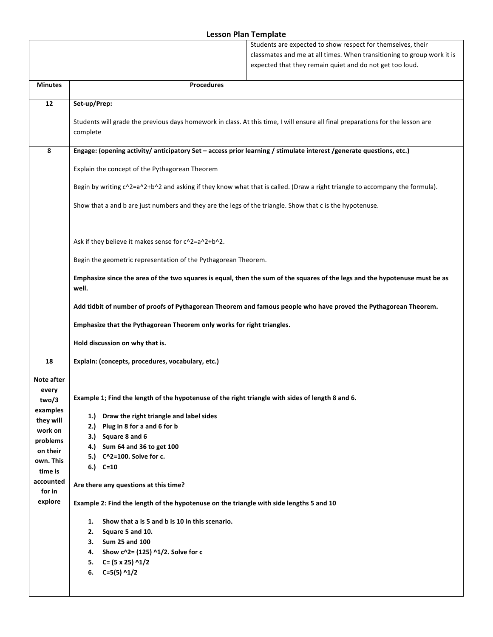## **Lesson Plan Template**

|                      |                                                                                                                                            | Students are expected to show respect for themselves, their            |  |
|----------------------|--------------------------------------------------------------------------------------------------------------------------------------------|------------------------------------------------------------------------|--|
|                      |                                                                                                                                            | classmates and me at all times. When transitioning to group work it is |  |
|                      |                                                                                                                                            | expected that they remain quiet and do not get too loud.               |  |
| <b>Minutes</b>       | <b>Procedures</b>                                                                                                                          |                                                                        |  |
| 12                   | Set-up/Prep:                                                                                                                               |                                                                        |  |
|                      |                                                                                                                                            |                                                                        |  |
|                      | Students will grade the previous days homework in class. At this time, I will ensure all final preparations for the lesson are<br>complete |                                                                        |  |
| 8                    | Engage: (opening activity/anticipatory Set - access prior learning / stimulate interest /generate questions, etc.)                         |                                                                        |  |
|                      | Explain the concept of the Pythagorean Theorem                                                                                             |                                                                        |  |
|                      | Begin by writing c^2=a^2+b^2 and asking if they know what that is called. (Draw a right triangle to accompany the formula).                |                                                                        |  |
|                      | Show that a and b are just numbers and they are the legs of the triangle. Show that c is the hypotenuse.                                   |                                                                        |  |
|                      | Ask if they believe it makes sense for c^2=a^2+b^2.                                                                                        |                                                                        |  |
|                      | Begin the geometric representation of the Pythagorean Theorem.                                                                             |                                                                        |  |
|                      | Emphasize since the area of the two squares is equal, then the sum of the squares of the legs and the hypotenuse must be as<br>well.       |                                                                        |  |
|                      | Add tidbit of number of proofs of Pythagorean Theorem and famous people who have proved the Pythagorean Theorem.                           |                                                                        |  |
|                      | Emphasize that the Pythagorean Theorem only works for right triangles.                                                                     |                                                                        |  |
|                      | Hold discussion on why that is.                                                                                                            |                                                                        |  |
| 18                   | Explain: (concepts, procedures, vocabulary, etc.)                                                                                          |                                                                        |  |
| Note after           |                                                                                                                                            |                                                                        |  |
| every                | Example 1; Find the length of the hypotenuse of the right triangle with sides of length 8 and 6.                                           |                                                                        |  |
| two/3<br>examples    |                                                                                                                                            |                                                                        |  |
| they will            | 1.) Draw the right triangle and label sides                                                                                                |                                                                        |  |
| work on              | 2.) Plug in 8 for a and 6 for b                                                                                                            |                                                                        |  |
| problems             | 3.) Square 8 and 6                                                                                                                         |                                                                        |  |
| on their             | 4.) Sum 64 and 36 to get 100                                                                                                               |                                                                        |  |
| own. This            | 5.) C^2=100. Solve for c.<br>6.) $C=10$                                                                                                    |                                                                        |  |
| time is<br>accounted | Are there any questions at this time?                                                                                                      |                                                                        |  |
| for in<br>explore    | Example 2: Find the length of the hypotenuse on the triangle with side lengths 5 and 10                                                    |                                                                        |  |
|                      | Show that a is 5 and b is 10 in this scenario.                                                                                             |                                                                        |  |
|                      | 1.<br>2. Square 5 and 10.                                                                                                                  |                                                                        |  |
|                      | 3. Sum 25 and 100                                                                                                                          |                                                                        |  |
|                      |                                                                                                                                            |                                                                        |  |
|                      | 4. Show $c^2 = (125)^2 1/2$ . Solve for c<br>5. $C = (5 \times 25)$ ^1/2                                                                   |                                                                        |  |
|                      | 6. $C=5(5)$ ^1/2                                                                                                                           |                                                                        |  |
|                      |                                                                                                                                            |                                                                        |  |
|                      |                                                                                                                                            |                                                                        |  |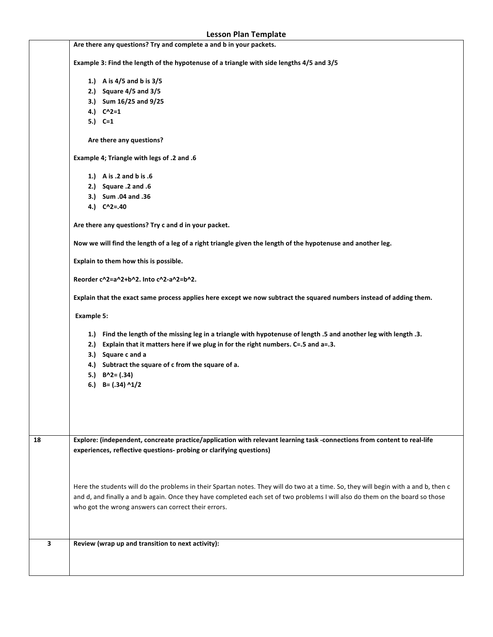| <b>Lesson Plan Template</b> |                                                                                                                                                                                                                                                                      |  |
|-----------------------------|----------------------------------------------------------------------------------------------------------------------------------------------------------------------------------------------------------------------------------------------------------------------|--|
|                             | Are there any questions? Try and complete a and b in your packets.                                                                                                                                                                                                   |  |
|                             | Example 3: Find the length of the hypotenuse of a triangle with side lengths 4/5 and 3/5                                                                                                                                                                             |  |
|                             | 1.) A is 4/5 and b is 3/5                                                                                                                                                                                                                                            |  |
|                             | 2.) Square 4/5 and 3/5                                                                                                                                                                                                                                               |  |
|                             | 3.) Sum 16/25 and 9/25                                                                                                                                                                                                                                               |  |
|                             | 4.) $C^2=1$                                                                                                                                                                                                                                                          |  |
|                             | 5.) $C=1$                                                                                                                                                                                                                                                            |  |
|                             | Are there any questions?                                                                                                                                                                                                                                             |  |
|                             | Example 4; Triangle with legs of .2 and .6                                                                                                                                                                                                                           |  |
|                             | 1.) A is .2 and b is .6                                                                                                                                                                                                                                              |  |
|                             | 2.) Square .2 and .6                                                                                                                                                                                                                                                 |  |
|                             | 3.) Sum .04 and .36                                                                                                                                                                                                                                                  |  |
|                             | 4.) $C^2 = .40$                                                                                                                                                                                                                                                      |  |
|                             | Are there any questions? Try c and d in your packet.                                                                                                                                                                                                                 |  |
|                             | Now we will find the length of a leg of a right triangle given the length of the hypotenuse and another leg.                                                                                                                                                         |  |
|                             | Explain to them how this is possible.                                                                                                                                                                                                                                |  |
|                             | Reorder c^2=a^2+b^2. Into c^2-a^2=b^2.<br>Explain that the exact same process applies here except we now subtract the squared numbers instead of adding them.                                                                                                        |  |
|                             | <b>Example 5:</b>                                                                                                                                                                                                                                                    |  |
|                             |                                                                                                                                                                                                                                                                      |  |
|                             | 1.) Find the length of the missing leg in a triangle with hypotenuse of length .5 and another leg with length .3.<br>2.) Explain that it matters here if we plug in for the right numbers. C=.5 and a=.3.                                                            |  |
|                             | 3.) Square c and a                                                                                                                                                                                                                                                   |  |
|                             | 4.) Subtract the square of c from the square of a.                                                                                                                                                                                                                   |  |
|                             | 5.) $B^2 = (.34)$                                                                                                                                                                                                                                                    |  |
|                             | 6.) B= $(.34)$ ^1/2                                                                                                                                                                                                                                                  |  |
|                             |                                                                                                                                                                                                                                                                      |  |
|                             |                                                                                                                                                                                                                                                                      |  |
|                             |                                                                                                                                                                                                                                                                      |  |
| 18                          | Explore: (independent, concreate practice/application with relevant learning task -connections from content to real-life                                                                                                                                             |  |
|                             | experiences, reflective questions- probing or clarifying questions)                                                                                                                                                                                                  |  |
|                             |                                                                                                                                                                                                                                                                      |  |
|                             |                                                                                                                                                                                                                                                                      |  |
|                             |                                                                                                                                                                                                                                                                      |  |
|                             | Here the students will do the problems in their Spartan notes. They will do two at a time. So, they will begin with a and b, then c<br>and d, and finally a and b again. Once they have completed each set of two problems I will also do them on the board so those |  |
|                             | who got the wrong answers can correct their errors.                                                                                                                                                                                                                  |  |
|                             |                                                                                                                                                                                                                                                                      |  |
|                             |                                                                                                                                                                                                                                                                      |  |
| 3                           | Review (wrap up and transition to next activity):                                                                                                                                                                                                                    |  |
|                             |                                                                                                                                                                                                                                                                      |  |
|                             |                                                                                                                                                                                                                                                                      |  |
|                             |                                                                                                                                                                                                                                                                      |  |